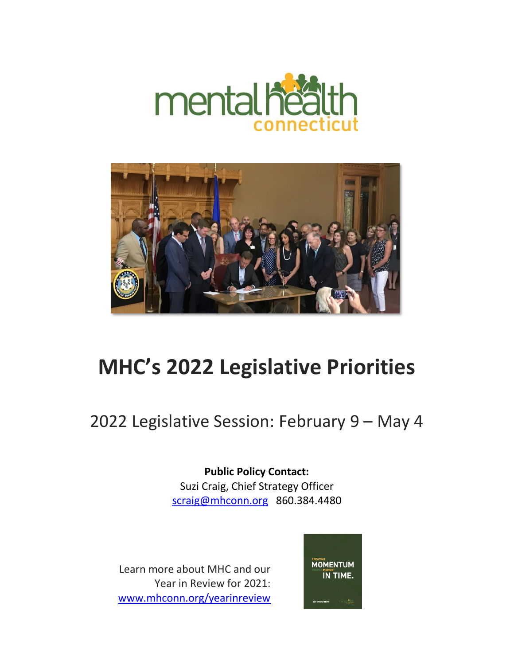



## **MHC's 2022 Legislative Priorities**

## 2022 Legislative Session: February 9 – May 4

**Public Policy Contact:**  Suzi Craig, Chief Strategy Officer [scraig@mhconn.org](mailto:scraig@mhconn.org) 860.384.4480

Learn more about MHC and our Year in Review for 2021: [www.mhconn.org/yearinreview](http://www.mhconn.org/yearinreview)

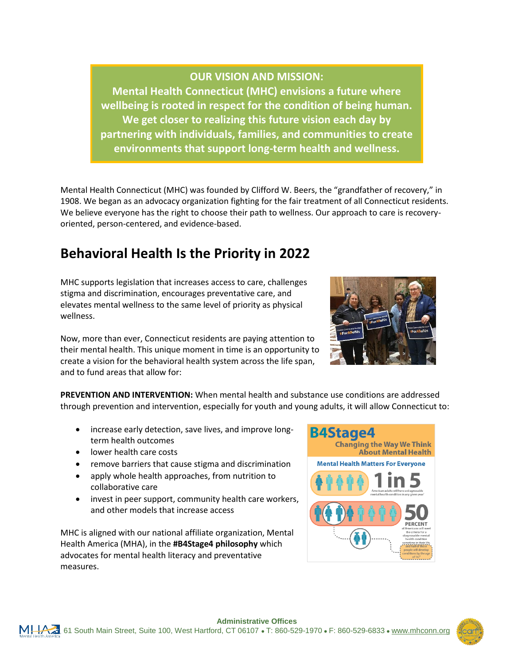

## **OUR VISION AND MISSION:**

**Mental Health Connecticut (MHC) envisions a future where wellbeing is rooted in respect for the condition of being human. We get closer to realizing this future vision each day by partnering with individuals, families, and communities to create environments that support long-term health and wellness.**

Mental Health Connecticut (MHC) was founded by Clifford W. Beers, the "grandfather of recovery," in 1908. We began as an advocacy organization fighting for the fair treatment of all Connecticut residents. We believe everyone has the right to choose their path to wellness. Our approach to care is recoveryoriented, person-centered, and evidence-based.

## **Behavioral Health Is the Priority in 2022**

MHC supports legislation that increases access to care, challenges stigma and discrimination, encourages preventative care, and elevates mental wellness to the same level of priority as physical wellness.

Now, more than ever, Connecticut residents are paying attention to their mental health. This unique moment in time is an opportunity to create a vision for the behavioral health system across the life span, and to fund areas that allow for:

**PREVENTION AND INTERVENTION:** When mental health and substance use conditions are addressed through prevention and intervention, especially for youth and young adults, it will allow Connecticut to:

- increase early detection, save lives, and improve longterm health outcomes
- lower health care costs
- remove barriers that cause stigma and discrimination
- apply whole health approaches, from nutrition to collaborative care
- invest in peer support, community health care workers, and other models that increase access

MHC is aligned with our national affiliate organization, Mental Health America (MHA), in the **#B4Stage4 philosophy** which advocates for mental health literacy and preventative measures.